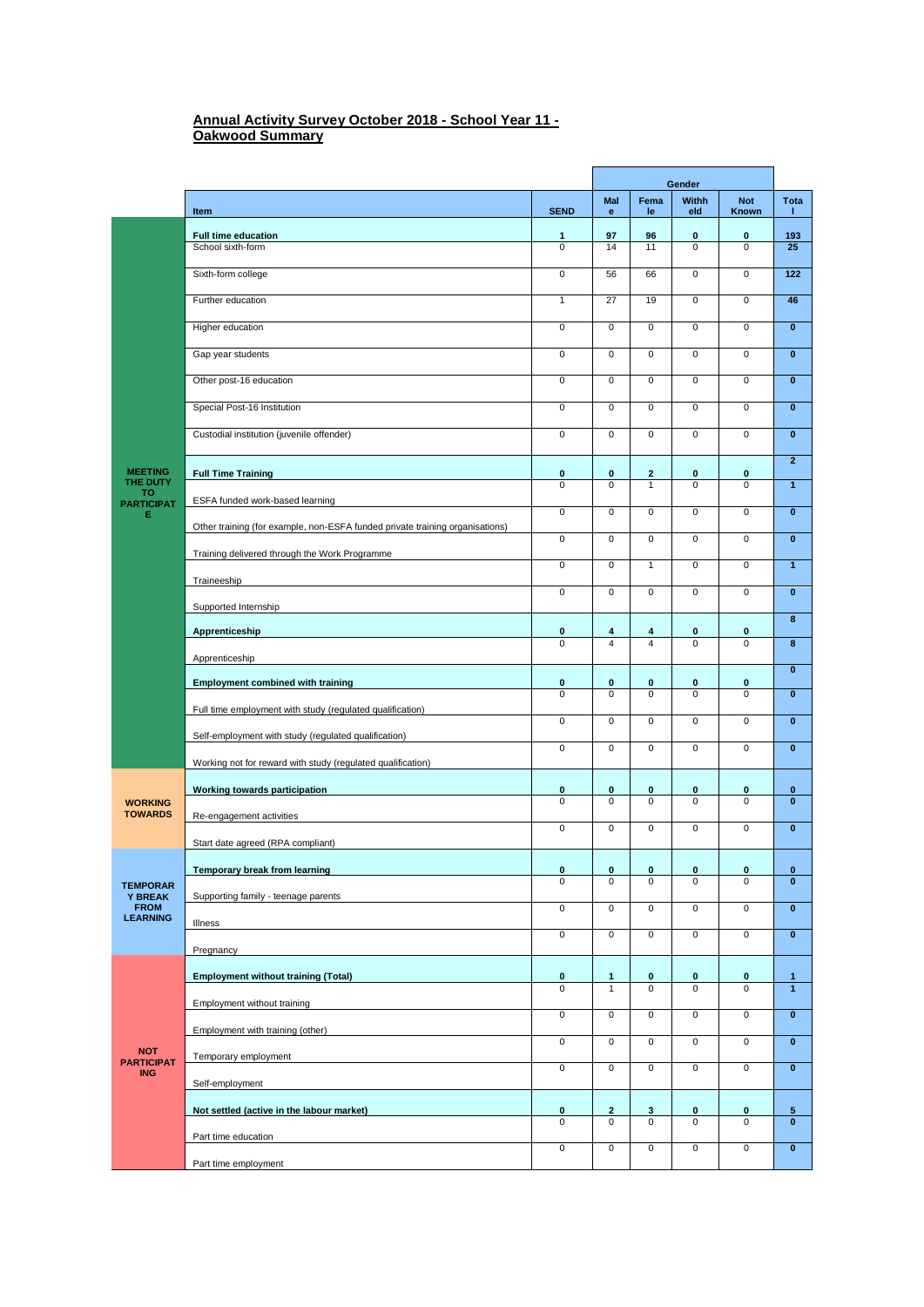## **Annual Activity Survey October 2018 - School Year 11 - Oakwood Summary**

ń

|                                               |                                                                              |                            | Gender                       |                         |                            |                            |                              |
|-----------------------------------------------|------------------------------------------------------------------------------|----------------------------|------------------------------|-------------------------|----------------------------|----------------------------|------------------------------|
|                                               | Item                                                                         | <b>SEND</b>                | Mal<br>e                     | Fema<br>le              | Withh<br>eld               | <b>Not</b><br>Known        | Tota<br>т.                   |
|                                               | Full time education                                                          | $\mathbf{1}$               | 97                           | 96                      | $\bf{0}$                   | $\bf{0}$                   | 193                          |
|                                               | School sixth-form                                                            | $\Omega$                   | 14                           | 11                      | $\Omega$                   | $\mathbf 0$                | 25                           |
|                                               | Sixth-form college                                                           | $\mathbf 0$                | 56                           | 66                      | $\mathbf 0$                | $\mathbf 0$                | 122                          |
|                                               | Further education                                                            | $\mathbf{1}$               | 27                           | 19                      | $\overline{0}$             | $\mathbf 0$                | 46                           |
|                                               | Higher education                                                             | $\mathbf 0$                | $\mathbf 0$                  | $\mathsf 0$             | $\mathbf 0$                | $\pmb{0}$                  | $\pmb{0}$                    |
|                                               | Gap year students                                                            | $\overline{0}$             | $\overline{0}$               | $\mathbf 0$             | $\overline{0}$             | $\mathbf 0$                | $\bf{0}$                     |
|                                               | Other post-16 education                                                      | $\overline{0}$             | 0                            | 0                       | 0                          | $\mathbf 0$                | $\bf{0}$                     |
|                                               | Special Post-16 Institution                                                  | $\overline{0}$             | $\overline{0}$               | $\overline{0}$          | $\overline{0}$             | $\overline{0}$             | $\overline{\mathbf{0}}$      |
|                                               | Custodial institution (juvenile offender)                                    | $\mathsf 0$                | $\mathbf 0$                  | $\pmb{0}$               | $\mathsf 0$                | $\pmb{0}$                  | $\pmb{0}$                    |
| <b>MEETING</b>                                | <b>Full Time Training</b>                                                    | 0                          | $\mathbf 0$                  | $\mathbf{2}$            | $\bf{0}$                   | 0                          | $\mathbf{2}$                 |
| THE DUTY<br>то                                |                                                                              | $\mathbf 0$                | $\mathbf 0$                  | $\mathbf{1}$            | $\mathbf 0$                | $\mathbf 0$                | $\mathbf{1}$                 |
| <b>PARTICIPAT</b><br>Е                        | ESFA funded work-based learning                                              | $\mathbf 0$                | $\mathbf{0}$                 | $\mathbf 0$             | $\mathbf 0$                | $\pmb{0}$                  | $\bf{0}$                     |
|                                               | Other training (for example, non-ESFA funded private training organisations) | $\overline{0}$             | $\mathbf{0}$                 | $\mathbf 0$             | $\overline{0}$             | $\overline{0}$             | $\bf{0}$                     |
|                                               | Training delivered through the Work Programme                                | $\overline{0}$             | $\overline{0}$               | $\overline{1}$          | $\overline{0}$             | $\overline{0}$             | $\overline{1}$               |
|                                               | Traineeship                                                                  |                            |                              |                         |                            |                            |                              |
|                                               | Supported Internship                                                         | $\mathbf 0$                | $\mathbf 0$                  | $\mathbf 0$             | $\mathsf 0$                | $\pmb{0}$                  | $\pmb{0}$                    |
|                                               | Apprenticeship                                                               | 0                          | 4                            | 4                       | 0                          | 0                          | $\overline{\mathbf{8}}$      |
|                                               | Apprenticeship                                                               | $\overline{0}$             | $\overline{4}$               | $\overline{\mathbf{4}}$ | $\overline{0}$             | $\overline{0}$             | 8                            |
|                                               |                                                                              |                            |                              |                         |                            |                            | $\bf{0}$                     |
|                                               | <b>Employment combined with training</b>                                     | $\pmb{0}$<br>$\Omega$      | $\mathbf 0$<br>$\mathbf 0$   | 0<br>$\mathbf 0$        | $\bf{0}$<br>$\Omega$       | $\pmb{0}$<br>$\mathbf 0$   | $\pmb{0}$                    |
|                                               | Full time employment with study (regulated qualification)                    | $\overline{0}$             | $\mathbf 0$                  | $\mathbf 0$             | $\mathsf 0$                | $\pmb{0}$                  | $\pmb{0}$                    |
|                                               | Self-employment with study (regulated qualification)                         | $\mathsf 0$                | $\pmb{0}$                    | $\pmb{0}$               | $\mathsf 0$                | $\pmb{0}$                  | $\pmb{0}$                    |
|                                               | Working not for reward with study (regulated qualification)                  |                            |                              |                         |                            |                            |                              |
|                                               | Working towards participation                                                | 0                          | 0                            | 0                       | 0                          | 0                          | $\bf{0}$                     |
| <b>WORKING</b><br><b>TOWARDS</b>              | Re-engagement activities                                                     | $\Omega$                   | $\mathbf 0$                  | $\mathbf 0$             | $\mathbf 0$                | $\mathbf 0$                | $\mathbf{0}$                 |
|                                               | Start date agreed (RPA compliant)                                            | $\mathbf 0$                | $\mathbf 0$                  | $\mathbf 0$             | $\mathbf 0$                | $\pmb{0}$                  | $\pmb{0}$                    |
|                                               |                                                                              |                            |                              |                         |                            |                            |                              |
| <b>TEMPORAR</b>                               | <b>Temporary break from learning</b>                                         | 0<br>0                     | 0<br>0                       | 0<br>0                  | 0<br>0                     | 0<br>0                     | 0<br>$\overline{\mathbf{0}}$ |
| <b>Y BREAK</b><br><b>FROM</b>                 | Supporting family - teenage parents                                          | $\overline{0}$             | $\mathsf 0$                  | $\mathbf 0$             | $\overline{0}$             | $\mathsf 0$                | $\pmb{0}$                    |
| <b>LEARNING</b>                               | Illness                                                                      | $\overline{0}$             | $\mathbf 0$                  | $\mathsf{O}\xspace$     | $\mathsf{O}\xspace$        | $\mathsf 0$                | $\pmb{0}$                    |
|                                               | Pregnancy                                                                    |                            |                              |                         |                            |                            |                              |
|                                               | <b>Employment without training (Total)</b>                                   | $\mathbf 0$<br>$\mathbf 0$ | $\mathbf{1}$<br>$\mathbf{1}$ | 0<br>$\mathbf 0$        | $\mathbf 0$<br>$\mathbf 0$ | $\mathbf 0$<br>$\mathbf 0$ | $\mathbf{1}$<br>$\mathbf{1}$ |
|                                               | Employment without training                                                  |                            |                              |                         |                            |                            |                              |
| <b>NOT</b><br><b>PARTICIPAT</b><br><b>ING</b> | Employment with training (other)                                             | $\overline{0}$             | $\overline{0}$               | $\mathbf 0$             | $\overline{0}$             | $\mathsf{O}\xspace$        | $\mathbf{0}$                 |
|                                               | Temporary employment                                                         | $\overline{0}$             | $\mathsf 0$                  | $\overline{0}$          | $\overline{0}$             | $\overline{0}$             | $\pmb{0}$                    |
|                                               | Self-employment                                                              | $\mathbf 0$                | $\mathsf 0$                  | $\overline{0}$          | $\overline{0}$             | $\overline{0}$             | $\overline{\mathbf{0}}$      |
|                                               | Not settled (active in the labour market)                                    | $\mathbf 0$                | $\overline{2}$               | $\mathbf{3}$            | $\mathbf 0$                | $\mathbf 0$                | 5                            |
|                                               | Part time education                                                          | $\overline{0}$             | $\mathbf 0$                  | $\overline{0}$          | $\mathbf 0$                | $\mathbf 0$                | $\overline{\mathbf{0}}$      |
|                                               |                                                                              | $\mathbf 0$                | $\mathsf 0$                  | $\mathsf 0$             | $\mathsf 0$                | $\pmb{0}$                  | $\mathbf 0$                  |
|                                               | Part time employment                                                         |                            |                              |                         |                            |                            |                              |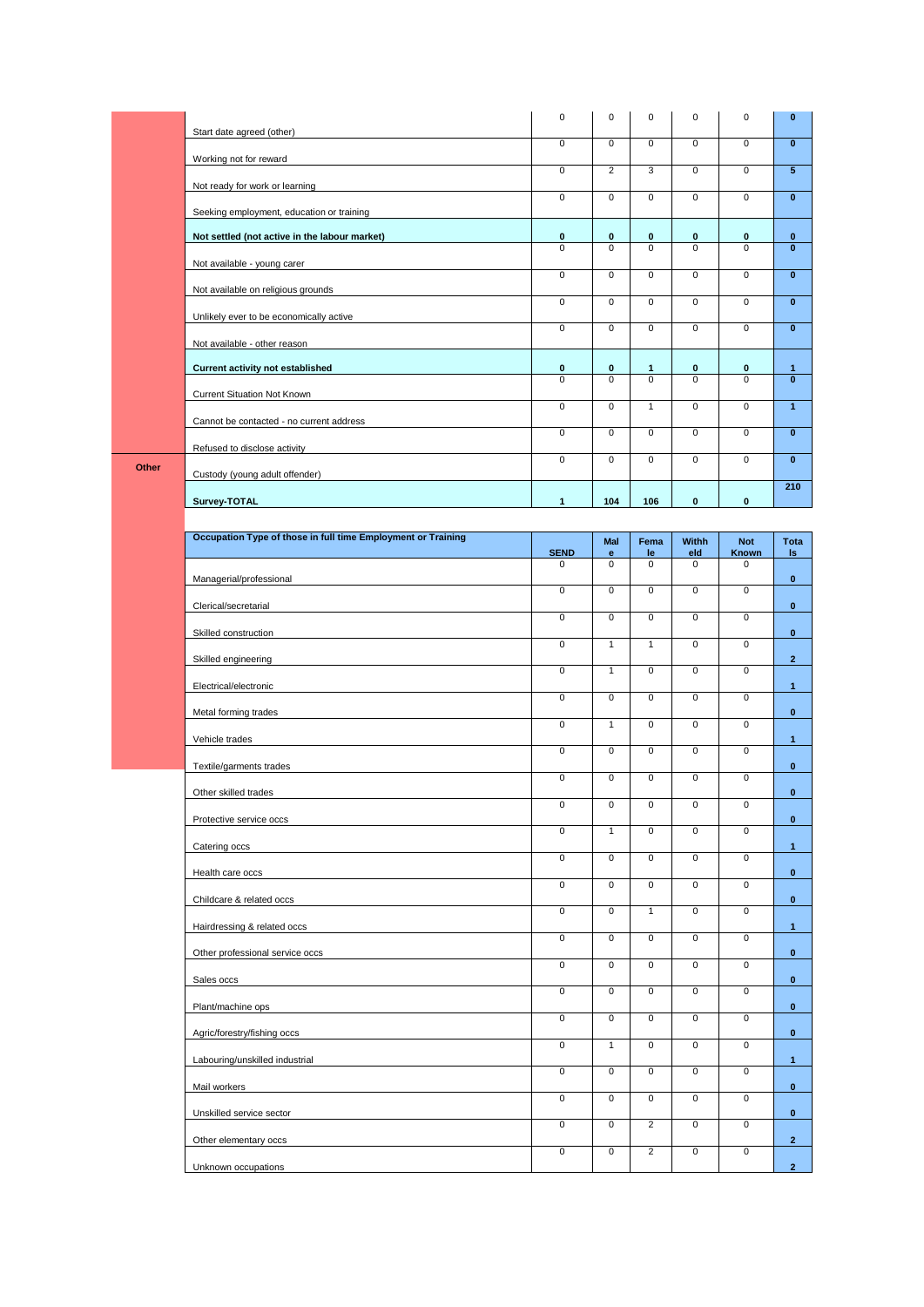|       |                                                              | 0                              | $\mathbf 0$                                | $\mathbf 0$                      | $\mathbf 0$                                | $\pmb{0}$                  | $\pmb{0}$               |
|-------|--------------------------------------------------------------|--------------------------------|--------------------------------------------|----------------------------------|--------------------------------------------|----------------------------|-------------------------|
|       | Start date agreed (other)                                    |                                |                                            |                                  |                                            |                            |                         |
|       | Working not for reward                                       | 0                              | $\mathsf 0$                                | $\pmb{0}$                        | $\mathsf{O}\xspace$                        | $\pmb{0}$                  | $\overline{\mathbf{0}}$ |
|       | Not ready for work or learning                               | 0                              | $\overline{2}$                             | 3                                | $\mathsf 0$                                | 0                          | 5                       |
|       | Seeking employment, education or training                    | 0                              | $\mathbf 0$                                | $\mathbf 0$                      | $\mathsf 0$                                | $\pmb{0}$                  | $\mathbf{0}$            |
|       | Not settled (not active in the labour market)                | 0                              | $\mathbf 0$                                | 0                                | 0                                          | 0                          | $\mathbf 0$             |
|       | Not available - young carer                                  | 0                              | $\mathbf 0$                                | $\mathbf 0$                      | $\mathbf 0$                                | $\mathbf 0$                | $\mathbf{0}$            |
|       | Not available on religious grounds                           | $\overline{0}$                 | $\overline{0}$                             | $\overline{0}$                   | $\overline{0}$                             | $\overline{0}$             | $\overline{\mathbf{0}}$ |
|       | Unlikely ever to be economically active                      | $\overline{0}$                 | $\overline{0}$                             | $\overline{0}$                   | $\overline{0}$                             | $\overline{0}$             | $\overline{\mathbf{0}}$ |
|       | Not available - other reason                                 | $\overline{0}$                 | $\overline{0}$                             | $\overline{0}$                   | $\overline{0}$                             | $\overline{0}$             | $\overline{\mathbf{0}}$ |
|       | <b>Current activity not established</b>                      | $\mathbf 0$                    | $\mathbf 0$                                | $\mathbf{1}$                     | 0                                          | 0                          | 1                       |
|       | Current Situation Not Known                                  | $\mathbf 0$                    | $\mathbf 0$                                | $\mathbf 0$                      | $\mathbf 0$                                | $\mathbf 0$                | $\mathbf{0}$            |
|       |                                                              | 0                              | $\mathsf 0$                                | $\mathbf{1}$                     | $\mathsf{O}\xspace$                        | $\pmb{0}$                  | $\mathbf{1}$            |
|       | Cannot be contacted - no current address                     | $\overline{0}$                 | $\mathsf 0$                                | $\mathbf 0$                      | $\overline{0}$                             | $\mathbf 0$                | $\mathbf{0}$            |
| Other | Refused to disclose activity                                 | 0                              | $\mathbf 0$                                | $\mathbf 0$                      | $\mathsf 0$                                | $\pmb{0}$                  | $\bf{0}$                |
|       | Custody (young adult offender)                               |                                |                                            |                                  |                                            |                            | 210                     |
|       | Survey-TOTAL                                                 | $\mathbf{1}$                   | 104                                        | 106                              | $\mathbf 0$                                | $\pmb{0}$                  |                         |
|       | Occupation Type of those in full time Employment or Training |                                |                                            |                                  |                                            |                            |                         |
|       |                                                              | <b>SEND</b>                    | Mal<br>$\mathbf{e}$                        | Fema<br>le                       | <b>Withh</b><br>eld                        | <b>Not</b><br>Known        | Tota<br>ls.             |
|       |                                                              | $\mathbf 0$                    | $\overline{0}$                             | $\overline{0}$                   | 0                                          | $\overline{0}$             |                         |
|       | Managerial/professional                                      | $\overline{0}$                 | $\overline{0}$                             | $\pmb{0}$                        | $\overline{0}$                             | $\pmb{0}$                  | $\bf{0}$                |
|       | Clerical/secretarial                                         | 0                              | $\mathbf 0$                                | $\pmb{0}$                        | $\mathsf 0$                                | $\pmb{0}$                  | $\bf{0}$                |
|       | Skilled construction                                         | $\mathsf 0$                    | $\mathbf{1}$                               | $\mathbf{1}$                     | $\mathsf 0$                                | $\pmb{0}$                  | $\mathbf 0$             |
|       |                                                              |                                |                                            |                                  |                                            |                            |                         |
|       | Skilled engineering                                          | 0                              | $\mathbf{1}$                               | $\pmb{0}$                        | $\mathsf{O}\xspace$                        | $\pmb{0}$                  | $\overline{2}$          |
|       | Electrical/electronic                                        | $\mathbf 0$                    | $\mathbf 0$                                | $\pmb{0}$                        | $\mathbf 0$                                | $\mathbf 0$                | $\mathbf{1}$            |
|       | Metal forming trades                                         |                                |                                            |                                  |                                            |                            | $\mathbf{0}$            |
|       | Vehicle trades                                               | 0                              | $\mathbf{1}$                               | $\mathbf 0$                      | $\mathsf 0$                                | $\pmb{0}$                  | $\mathbf{1}$            |
|       | Textile/garments trades                                      | $\mathsf{O}$                   | $\overline{0}$                             | $\overline{0}$                   | 0                                          | $\overline{0}$             | $\bf{0}$                |
|       | Other skilled trades                                         | 0                              | $\overline{0}$                             | $\overline{0}$                   | $\overline{0}$                             | $\overline{0}$             | $\bf{0}$                |
|       | Protective service occs                                      | $\overline{0}$                 | $\overline{0}$                             | $\overline{0}$                   | $\overline{0}$                             | $\overline{0}$             | $\mathbf{0}$            |
|       | Catering occs                                                | $\overline{0}$                 | $\mathbf{1}$                               | $\overline{0}$                   | $\overline{0}$                             | $\overline{0}$             | $\mathbf{1}$            |
|       | Health care occs                                             | $\overline{0}$                 | $\overline{0}$                             | $\overline{0}$                   | $\overline{0}$                             | $\overline{0}$             | $\mathbf{0}$            |
|       |                                                              | $\mathbf 0$                    | $\mathsf{O}\xspace$                        | $\mathsf 0$                      | $\mathsf{O}\xspace$                        | $\mathsf 0$                |                         |
|       | Childcare & related occs                                     | $\mathbf 0$                    | $\mathsf{O}\xspace$                        | $\mathbf{1}$                     | $\mathbf 0$                                | $\mathbf 0$                | $\mathbf 0$             |
|       | Hairdressing & related occs                                  | $\overline{0}$                 | $\mathsf{O}\xspace$                        | $\overline{0}$                   | $\overline{0}$                             | $\mathbf 0$                | $\mathbf{1}$            |
|       | Other professional service occs                              | $\overline{0}$                 | $\mathsf{O}\xspace$                        | $\overline{0}$                   | $\overline{0}$                             | $\overline{0}$             | $\mathbf 0$             |
|       | Sales occs                                                   | $\overline{0}$                 | $\overline{0}$                             | $\overline{0}$                   | $\overline{0}$                             | $\overline{0}$             | $\mathbf 0$             |
|       | Plant/machine ops                                            | $\overline{0}$                 | $\overline{0}$                             | $\overline{0}$                   | $\overline{0}$                             | $\mathsf 0$                | $\mathbf 0$             |
|       | Agric/forestry/fishing occs                                  | $\overline{0}$                 | $\overline{1}$                             | $\overline{0}$                   | $\overline{0}$                             | $\overline{0}$             | $\mathbf 0$             |
|       | Labouring/unskilled industrial                               | $\mathsf{O}\xspace$            | $\mathsf 0$                                | $\mathsf 0$                      | $\mathsf 0$                                | $\mathbf 0$                | 1 <sub>1</sub>          |
|       | Mail workers                                                 | $\overline{0}$                 |                                            |                                  | $\overline{0}$                             |                            | $\mathbf 0$             |
|       | Unskilled service sector                                     |                                | $\overline{0}$                             | $\overline{0}$                   |                                            | $\overline{0}$             | $\mathbf{0}^-$          |
|       | Other elementary occs                                        | $\overline{0}$<br>$\mathsf{O}$ | $\mathsf{O}\xspace$<br>$\mathsf{O}\xspace$ | $\overline{2}$<br>$\overline{2}$ | $\mathsf{O}\xspace$<br>$\mathsf{O}\xspace$ | $\mathsf 0$<br>$\mathsf 0$ | $\overline{2}$          |